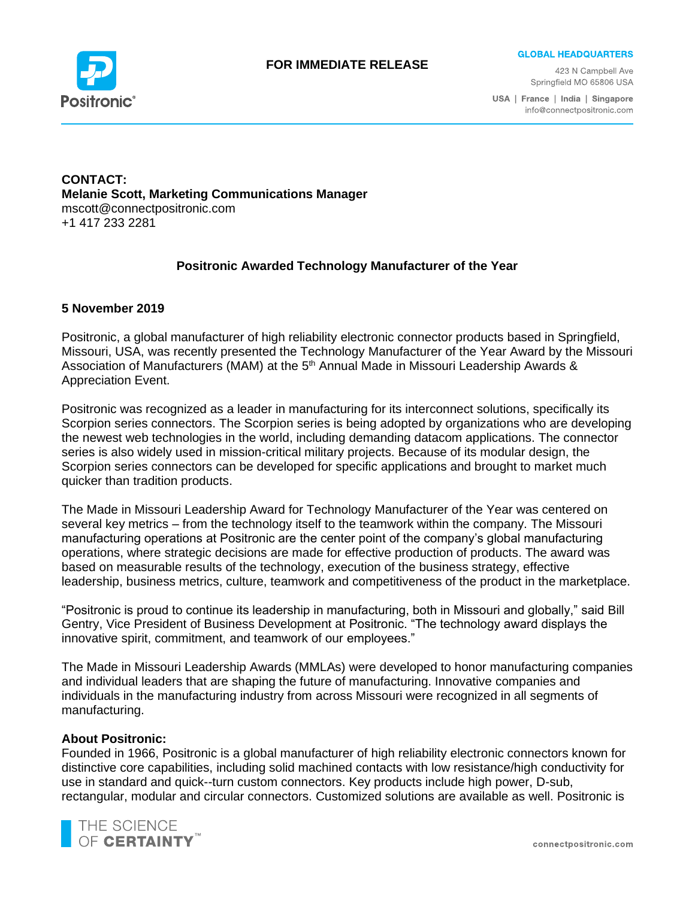

### **FOR IMMEDIATE RELEASE**

**GLOBAL HEADQUARTERS** 

423 N Campbell Ave Springfield MO 65806 USA

USA | France | India | Singapore info@connectpositronic.com

### **CONTACT: Melanie Scott, Marketing Communications Manager** mscott@connectpositronic.com +1 417 233 2281

# **Positronic Awarded Technology Manufacturer of the Year**

### **5 November 2019**

Positronic, a global manufacturer of high reliability electronic connector products based in Springfield, Missouri, USA, was recently presented the Technology Manufacturer of the Year Award by the Missouri Association of Manufacturers (MAM) at the 5<sup>th</sup> Annual Made in Missouri Leadership Awards & Appreciation Event.

Positronic was recognized as a leader in manufacturing for its interconnect solutions, specifically its Scorpion series connectors. The Scorpion series is being adopted by organizations who are developing the newest web technologies in the world, including demanding datacom applications. The connector series is also widely used in mission-critical military projects. Because of its modular design, the Scorpion series connectors can be developed for specific applications and brought to market much quicker than tradition products.

The Made in Missouri Leadership Award for Technology Manufacturer of the Year was centered on several key metrics – from the technology itself to the teamwork within the company. The Missouri manufacturing operations at Positronic are the center point of the company's global manufacturing operations, where strategic decisions are made for effective production of products. The award was based on measurable results of the technology, execution of the business strategy, effective leadership, business metrics, culture, teamwork and competitiveness of the product in the marketplace.

"Positronic is proud to continue its leadership in manufacturing, both in Missouri and globally," said Bill Gentry, Vice President of Business Development at Positronic. "The technology award displays the innovative spirit, commitment, and teamwork of our employees."

The Made in Missouri Leadership Awards (MMLAs) were developed to honor manufacturing companies and individual leaders that are shaping the future of manufacturing. Innovative companies and individuals in the manufacturing industry from across Missouri were recognized in all segments of manufacturing.

#### **About Positronic:**

Founded in 1966, Positronic is a global manufacturer of high reliability electronic connectors known for distinctive core capabilities, including solid machined contacts with low resistance/high conductivity for use in standard and quick--turn custom connectors. Key products include high power, D-sub, rectangular, modular and circular connectors. Customized solutions are available as well. Positronic is